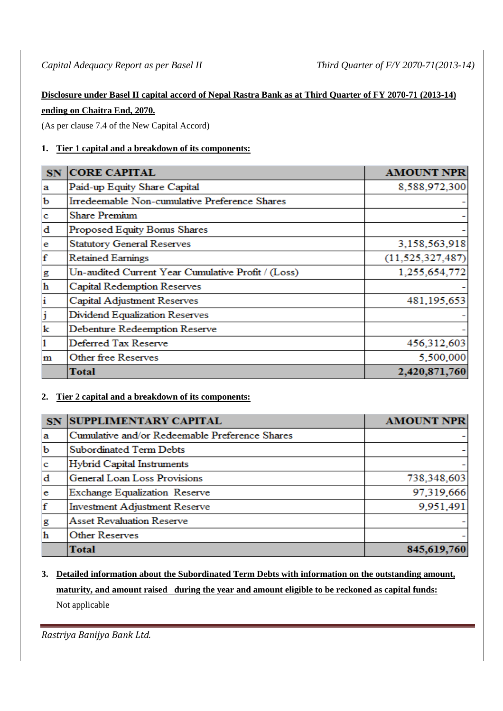# **Disclosure under Basel II capital accord of Nepal Rastra Bank as at Third Quarter of FY 2070-71 (2013-14) ending on Chaitra End, 2070.**

(As per clause 7.4 of the New Capital Accord)

# **1. Tier 1 capital and a breakdown of its components:**

| SN <sub>1</sub> | <b>CORE CAPITAL</b>                                | <b>AMOUNT NPR</b>   |
|-----------------|----------------------------------------------------|---------------------|
| a               | Paid-up Equity Share Capital                       | 8,588,972,300       |
| b               | Irredeemable Non-cumulative Preference Shares      |                     |
| c               | <b>Share Premium</b>                               |                     |
| $\mathbf d$     | Proposed Equity Bonus Shares                       |                     |
| e               | <b>Statutory General Reserves</b>                  | 3,158,563,918       |
| $\mathbf f$     | <b>Retained Earnings</b>                           | (11, 525, 327, 487) |
| g               | Un-audited Current Year Cumulative Profit / (Loss) | 1,255,654,772       |
| $\mathbf h$     | Capital Redemption Reserves                        |                     |
| i               | Capital Adjustment Reserves                        | 481,195,653         |
| j               | Dividend Equalization Reserves                     |                     |
| k               | Debenture Redeemption Reserve                      |                     |
| 1               | Deferred Tax Reserve                               | 456,312,603         |
| m               | Other free Reserves                                | 5,500,000           |
|                 | Total                                              | 2,420,871,760       |

# **2. Tier 2 capital and a breakdown of its components:**

| SN           | <b>SUPPLIMENTARY CAPITAL</b>                   | <b>AMOUNT NPR</b> |
|--------------|------------------------------------------------|-------------------|
| $\mathbf{a}$ | Cumulative and/or Redeemable Preference Shares |                   |
| $\mathbf b$  | <b>Subordinated Term Debts</b>                 |                   |
| $\mathbf{c}$ | <b>Hybrid Capital Instruments</b>              |                   |
| $\mathbf d$  | General Loan Loss Provisions                   | 738,348,603       |
| e            | Exchange Equalization Reserve                  | 97,319,666        |
| f            | <b>Investment Adjustment Reserve</b>           | 9,951,491         |
| g            | <b>Asset Revaluation Reserve</b>               |                   |
| $\mathbf h$  | <b>Other Reserves</b>                          |                   |
|              | <b>Total</b>                                   | 845,619,760       |

# **3. Detailed information about the Subordinated Term Debts with information on the outstanding amount, maturity, and amount raised during the year and amount eligible to be reckoned as capital funds:** Not applicable

*Rastriya Banijya Bank Ltd.*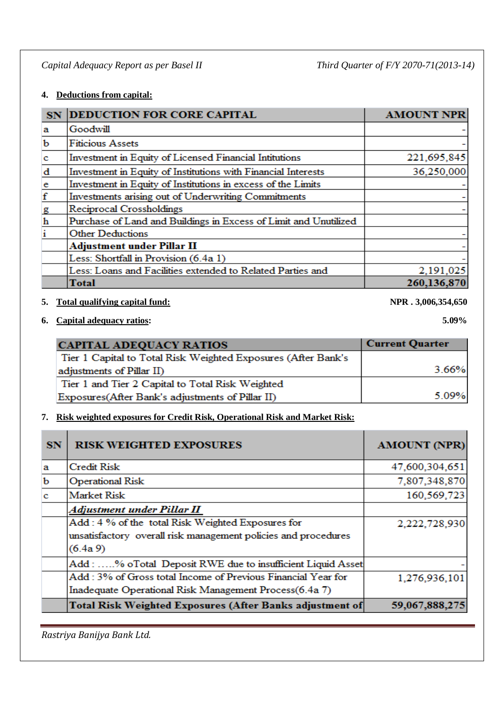## **4. Deductions from capital:**

| SN            | <b>DEDUCTION FOR CORE CAPITAL</b>                                | <b>AMOUNT NPR</b> |
|---------------|------------------------------------------------------------------|-------------------|
| a             | Goodwill                                                         |                   |
| b             | <b>Fiticious Assets</b>                                          |                   |
| $\mathbf c$   | Investment in Equity of Licensed Financial Intitutions           | 221,695,845       |
| d             | Investment in Equity of Institutions with Financial Interests    | 36,250,000        |
|               | Investment in Equity of Institutions in excess of the Limits     |                   |
| $rac{e}{f}$   | Investments arising out of Underwriting Commitments              |                   |
| $\frac{g}{h}$ | Reciprocal Crossholdings                                         |                   |
|               | Purchase of Land and Buildings in Excess of Limit and Unutilized |                   |
| $\mathbf{i}$  | <b>Other Deductions</b>                                          |                   |
|               | <b>Adjustment under Pillar II</b>                                |                   |
|               | Less: Shortfall in Provision (6.4a 1)                            |                   |
|               | Less: Loans and Facilities extended to Related Parties and       | 2,191,025         |
|               | Total                                                            | 260,136,870       |

## **5. Total qualifying capital fund: NPR . 3,006,354,650**

## **6. Capital adequacy ratios: 5.09%**

| <b>CAPITAL ADEQUACY RATIOS</b>                                | <b>Current Quarter</b> |
|---------------------------------------------------------------|------------------------|
| Tier 1 Capital to Total Risk Weighted Exposures (After Bank's |                        |
| adjustments of Pillar II)                                     | 3.66%                  |
| Tier 1 and Tier 2 Capital to Total Risk Weighted              |                        |
| Exposures (After Bank's adjustments of Pillar II)             | 5.09%                  |

## **7. Risk weighted exposures for Credit Risk, Operational Risk and Market Risk:**

| <b>SN</b> | <b>RISK WEIGHTED EXPOSURES</b>                                  | <b>AMOUNT (NPR)</b> |
|-----------|-----------------------------------------------------------------|---------------------|
| a         | <b>Credit Risk</b>                                              | 47,600,304,651      |
| b         | <b>Operational Risk</b>                                         | 7,807,348,870       |
| c.        | <b>Market Risk</b>                                              | 160,569,723         |
|           | Adjustment under Pillar II                                      |                     |
|           | Add: 4 % of the total Risk Weighted Exposures for               | 2,222,728,930       |
|           | unsatisfactory overall risk management policies and procedures  |                     |
|           | $(6.4a\,9)$                                                     |                     |
|           | Add: % oTotal Deposit RWE due to insufficient Liquid Asset      |                     |
|           | Add: 3% of Gross total Income of Previous Financial Year for    | 1,276,936,101       |
|           | Inadequate Operational Risk Management Process(6.4a 7)          |                     |
|           | <b>Total Risk Weighted Exposures (After Banks adjustment of</b> | 59,067,888,275      |

*Rastriya Banijya Bank Ltd.*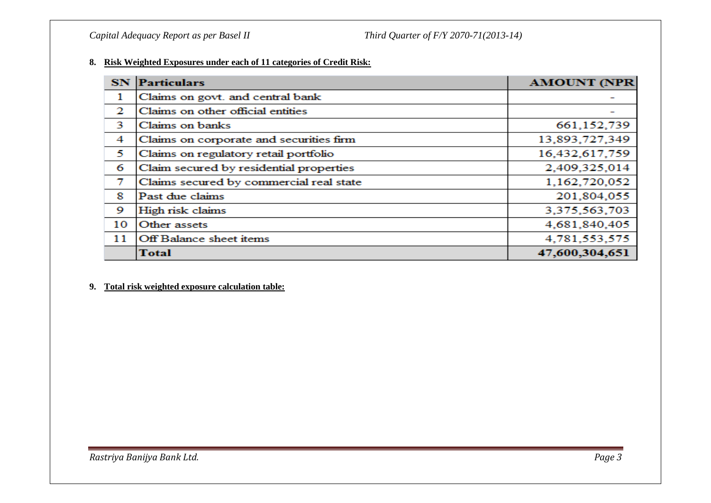#### **8. Risk Weighted Exposures under each of 11 categories of Credit Risk:**

| <b>SN</b> | <b>Particulars</b>                      | <b>AMOUNT (NPR</b> |
|-----------|-----------------------------------------|--------------------|
| 1         | Claims on govt. and central bank        |                    |
| 2         | Claims on other official entities       |                    |
| 3         | Claims on banks                         | 661, 152, 739      |
| 4         | Claims on corporate and securities firm | 13,893,727,349     |
| 5         | Claims on regulatory retail portfolio   | 16,432,617,759     |
| 6         | Claim secured by residential properties | 2,409,325,014      |
| 7         | Claims secured by commercial real state | 1,162,720,052      |
| 8         | Past due claims                         | 201,804,055        |
| 9         | High risk claims                        | 3,375,563,703      |
| 10        | Other assets                            | 4,681,840,405      |
| 11        | Off Balance sheet items                 | 4,781,553,575      |
|           | <b>Total</b>                            | 47,600,304,651     |

#### **9. Total risk weighted exposure calculation table:**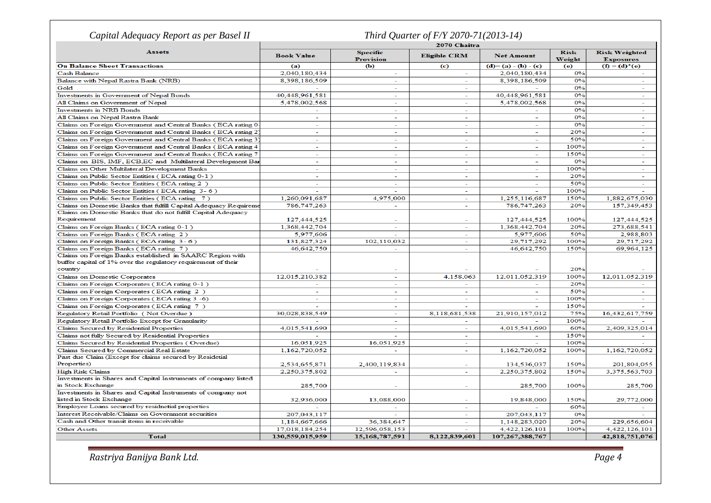| Capital Adequacy Report as per Basel II                          |                          |                                     | Third Quarter of F/Y 2070-71(2013-14) |                   |                       |                                          |
|------------------------------------------------------------------|--------------------------|-------------------------------------|---------------------------------------|-------------------|-----------------------|------------------------------------------|
|                                                                  | 2070 Chaitra             |                                     |                                       |                   |                       |                                          |
| <b>Assets</b>                                                    | <b>Book Value</b>        | <b>Specific</b><br><b>Provision</b> | <b>Eligible CRM</b>                   | <b>Net Amount</b> | <b>Risk</b><br>Weight | <b>Risk Weighted</b><br><b>Exposures</b> |
| <b>On Balance Sheet Transactions</b>                             | (a)                      | (Ъ                                  | (c)                                   | $(d)=(a)-(b)-(c)$ | (e)                   | $(f) = (d)^*(e)$                         |
| <b>Cash Balance</b>                                              | 2,040,180,434            | $\sim$                              | $\sim$                                | 2,040,180,434     | 0%                    |                                          |
| Balance with Nepal Rastra Bank (NRB)                             | 8,398,186,509            | $\sim$                              | $\sim$                                | 8,398,186,509     | 0%                    | $\sim$                                   |
| Gold                                                             |                          |                                     |                                       |                   | 0%                    | $\sim$                                   |
| Investments in Government of Nepal Bonds                         | 40.448.961.581           | $\sim$                              | $\equiv$                              | 40.448.961.581    | 0%                    |                                          |
| All Claims on Government of Nepal                                | 5,478,002,568            | ÷                                   | $\sim$                                | 5,478,002,568     | 0%                    | $\overline{\phantom{0}}$                 |
| <b>Investments in NRB Bonds</b>                                  |                          | $\sim$                              | $\sim$                                |                   | 0%                    | $\overline{a}$                           |
| All Claims on Nepal Rastra Bank                                  | $\overline{\phantom{a}}$ | ÷                                   | $\overline{\phantom{a}}$              | ÷.                | 0%                    | $\overline{\phantom{a}}$                 |
| Claims on Foreign Government and Central Banks (ECA rating 0)    | $\sim$                   | $\sim$                              | $\overline{\phantom{a}}$              | $\sim$            | 0%                    | $\sim$                                   |
| Claims on Foreign Government and Central Banks (ECA rating 2)    | $\overline{a}$           | $\overline{a}$                      | $\sim$                                | $\overline{a}$    | 20%                   | $\sim$                                   |
| Claims on Foreign Government and Central Banks (ECA rating 3     | ٠                        | ٠                                   | $\sim$                                | ٠                 | 50%                   | $\sim$                                   |
| Claims on Foreign Government and Central Banks (ECA rating 4     | $\overline{a}$           | $\overline{\phantom{a}}$            | $\sim$                                | ٠                 | 100%                  | $\sim$                                   |
| Claims on Foreign Government and Central Banks (ECA rating 7     | $\sim$                   | $\sim$                              | $\sim$                                | $\mathbf{r}$      | 150%                  | $\sim$                                   |
| Claims on BIS, IMF, ECB, EC and Multilateral Development Bar     | ÷                        | $\sim$                              | $\sim$                                | ÷                 | 0%                    | $\overline{\phantom{a}}$                 |
| Claims on Other Multilateral Development Banks                   |                          |                                     | $\overline{\phantom{a}}$              |                   | 100%                  | $\equiv$                                 |
| Claims on Public Sector Entities (ECA rating 0-1)                | $\sim$                   | ÷                                   | $\sim$                                | ÷.                | 20%                   | $\sim$                                   |
| Claims on Public Sector Entities (ECA rating 2)                  | $\overline{\phantom{a}}$ | $\overline{\phantom{a}}$            | $\overline{\phantom{a}}$              | ٠                 | 50%                   | $\overline{\phantom{a}}$                 |
| Claims on Public Sector Entities (ECA rating 3-6)                |                          |                                     | $\overline{\phantom{a}}$              |                   | 100%                  |                                          |
| Claims on Public Sector Entities (ECA rating 7)                  | 1,260,091,687            | 4,975,000                           | $\sim$                                | 1,255,116,687     | 150%                  | 1,882,675,030                            |
| Claims on Domestic Banks that fulfill Capital Adequacy Requireme | 786,747,263              | $\sim$                              | $\sim$                                | 786, 747, 263     | 20%                   | 157,349,453                              |
| Claims on Domestic Banks that do not fulfill Capital Adequacy    |                          |                                     |                                       |                   |                       |                                          |
| Requirement                                                      | 127,444,525              | $\sim$                              | $\overline{\phantom{a}}$              | 127,444,525       | 100%                  | 127,444,525                              |
| Claims on Foreign Banks (ECA rating 0-1)                         | 1,368,442,704            |                                     |                                       | 1,368,442,704     | 20%                   | 273,688,541                              |
| Claims on Foreign Banks (ECA rating 2)                           | 5,977,606                | ÷                                   | $\sim$                                | 5,977,606         | 50%                   | 2,988,803                                |
| Claims on Foreign Banks (ECA rating 3-6)                         | 131,827,324              | 102,110,032                         | $\sim$                                | 29,717,292        | 100%                  | 29,717,292                               |
| Claims on Foreign Banks (ECA rating 7)                           | 46,642,750               |                                     |                                       | 46,642,750        | 150%                  | 69,964,125                               |
| Claims on Foreign Banks established in SAARC Region with         |                          |                                     |                                       |                   |                       |                                          |
| buffer capital of 1% over the regulatory requirement of their    |                          |                                     |                                       |                   |                       |                                          |
| country                                                          |                          |                                     |                                       |                   | 20%                   |                                          |
| Claims on Domestic Corporates                                    | 12,015,210,382           |                                     | 4,158,063                             | 12,011,052,319    | 100%                  | 12,011,052,319                           |
| Claims on Foreign Corporates (ECA rating 0-1)                    | $\sim$                   | $\sim$                              | $\sim$                                |                   | 20%                   |                                          |
| Claims on Foreign Corporates (ECA rating 2)                      | $\sim$                   | $\sim$                              | $\sim$                                | $\sim$            | 50%                   | $\sim$                                   |
| Claims on Foreign Corporates (ECA rating 3-6)                    |                          |                                     |                                       |                   | 100%                  |                                          |
| Claims on Foreign Corporates (ECA rating 7)                      |                          | $\overline{\phantom{a}}$            | $\overline{\phantom{a}}$              |                   | 150%                  |                                          |
| Regulatory Retail Portfolio (Not Overdue)                        | 30,028,838,549           | $\overline{\phantom{a}}$            | 8,118,681,538                         | 21,910,157,012    | 75%                   | 16,432,617,759                           |
| Regulatory Retail Portfolio Except for Granularity               |                          |                                     |                                       |                   | 100%                  |                                          |
| Claims Secured by Residential Properties                         | 4,015,541,690            | $\sim$                              | $\equiv$                              | 4,015,541,690     | 60%                   | 2,409,325,014                            |
| Claims not fully Secured by Residential Properties               |                          |                                     | $\sim$                                |                   | 150%                  |                                          |
| Claims Secured by Residential Properties (Overdue)               | 16,051,925               | 16,051,925                          |                                       |                   | 100%                  |                                          |
| Claims Secured by Commercial Real Estate                         | 1,162,720,052            |                                     | $\overline{\phantom{a}}$              | 1,162,720,052     | 100%                  | 1,162,720,052                            |
| Past due Claim (Except for claims secured by Residetial          |                          |                                     |                                       |                   |                       |                                          |
| Properties)                                                      | 2,534,655,871            | 2,400,119,834                       |                                       | 134,536,037       | 150%                  | 201,804,055                              |
| <b>High Risk Claims</b>                                          | 2,250,375,802            | $\sim$                              | $\sim$                                | 2,250,375,802     | 150%                  | 3,375,563,703                            |
| Investments in Shares and Capital Instruments of company listed  |                          |                                     |                                       |                   |                       |                                          |
| in Stock Exchange                                                | 285,700                  | $\overline{\phantom{a}}$            | $\sim$                                | 285,700           | 100%                  | 285,700                                  |
| Investments in Shares and Capital Instruments of company not     |                          |                                     |                                       |                   |                       |                                          |
| listed in Stock Exchange                                         | 32,936,000               | 13,088,000                          |                                       | 19,848,000        | 150%                  | 29,772,000                               |
| Employee Loans secured by residnetial properties                 |                          |                                     | $\sim$                                |                   | 60%                   |                                          |
| Interest Receivable/Claims on Government securities              | 207,043,117              |                                     | $\sim$                                | 207,043,117       | 0%                    |                                          |
| Cash and Other transit items in receivable                       | 1,184,667,666            | 36,384,647                          | $\overline{\phantom{a}}$              | 1,148,283,020     | 20%                   | 229,656,604                              |
| <b>Other Assets</b>                                              | 17,018,184,254           | 12,596,058,153                      |                                       | 4,422,126,101     | 100%                  | 4,422,126,101                            |
| <b>Total</b>                                                     | 130,559,015,959          | 15,168,787,591                      | 8,122,839,601                         | 107,267,388,767   |                       | 42,818,751,076                           |

*Rastriya Banijya Bank Ltd. Page 4*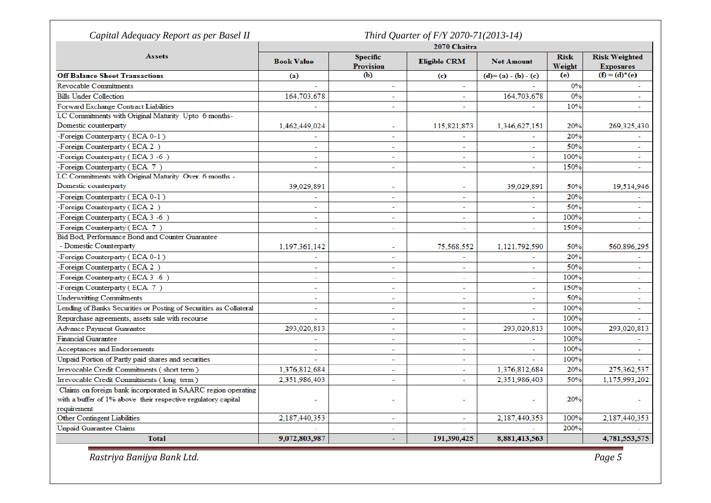|                                                                    | 2070 Chaitra             |                                     |                          |                          |                       |                                          |
|--------------------------------------------------------------------|--------------------------|-------------------------------------|--------------------------|--------------------------|-----------------------|------------------------------------------|
| <b>Assets</b>                                                      | <b>Book Value</b>        | <b>Specific</b><br><b>Provision</b> | <b>Eligible CRM</b>      | <b>Net Amount</b>        | <b>Risk</b><br>Weight | <b>Risk Weighted</b><br><b>Exposures</b> |
| <b>Off Balance Sheet Transactions</b>                              | (a)                      | (b)                                 | (c)                      | (d)= (a) - (b) - (c)     | (e)                   | $(f) = (d)^*(e)$                         |
| <b>Revocable Commitments</b>                                       | $\sim$                   | $\sim$                              | $\sim$                   |                          | 0%                    |                                          |
| <b>Bills Under Collection</b>                                      | 164,703,678              | ÷.                                  |                          | 164,703,678              | 0%                    |                                          |
| Forward Exchange Contract Liabilities                              | $\mathbf{r}$             | ÷.                                  | $\sim$                   |                          | 10%                   | ÷.                                       |
| LC Commitments with Original Maturity Upto 6 months-               |                          |                                     |                          |                          |                       |                                          |
| Domestic counterparty                                              | 1,462,449,024            | $\sim$                              | 115,821,873              | 1,346,627,151            | 20%                   | 269,325,430                              |
| -Foreign Counterparty (ECA 0-1)                                    |                          | ÷,                                  |                          |                          | 20%                   |                                          |
| -Foreign Counterparty (ECA 2)                                      | $\overline{\phantom{a}}$ | ÷                                   | $\sim$                   | $\sim$                   | 50%                   | $\overline{\phantom{0}}$                 |
| -Foreign Counterparty (ECA 3-6)                                    | $\overline{\phantom{a}}$ | ٠                                   | ÷.                       |                          | 100%                  |                                          |
| -Foreign Counterparty (ECA 7)                                      | $\sim$                   | ÷                                   | ٠                        |                          | 150%                  |                                          |
| LC Commitments with Original Maturity Over 6 months -              |                          |                                     |                          |                          |                       |                                          |
| Domestic counterparty                                              | 39,029,891               | ÷                                   |                          | 39,029,891               | 50%                   | 19,514,946                               |
| -Foreign Counterparty (ECA 0-1)                                    | $\overline{\phantom{a}}$ | ٠                                   | $\sim$                   |                          | 20%                   |                                          |
| -Foreign Counterparty (ECA 2)                                      |                          | ۰                                   | $\overline{\phantom{a}}$ |                          | 50%                   |                                          |
| -Foreign Counterparty (ECA 3 -6)                                   | $\overline{\phantom{a}}$ | $\overline{a}$                      | $\overline{a}$           | ц                        | 100%                  | $\sim$                                   |
| -Foreign Counterparty (ECA 7)                                      | $\sim$                   | ÷,                                  | ÷,                       |                          | 150%                  |                                          |
| Bid Bod, Performance Bond and Counter Guarantee                    |                          |                                     |                          |                          |                       |                                          |
| - Domestic Counterparty                                            | 1,197,361,142            | ÷.                                  | 75,568,552               | 1,121,792,590            | 50%                   | 560,896,295                              |
| -Foreign Counterparty (ECA 0-1)                                    |                          | ä,                                  | ÷.                       |                          | 20%                   |                                          |
| -Foreign Counterparty (ECA 2)                                      | $\overline{\phantom{a}}$ | ÷.                                  | $\mathbf{r}$             |                          | 50%                   | $\sim$                                   |
| -Foreign Counterparty (ECA 3-6)                                    | $\overline{\phantom{a}}$ | $\sim$                              | ÷.                       |                          | 100%                  |                                          |
| -Foreign Counterparty (ECA 7)                                      | $\overline{a}$           | ÷.                                  | ä,                       | ÷.                       | 150%                  | $\sim$                                   |
| <b>Underwritting Commitments</b>                                   | $\sim$                   | ٠                                   | $\overline{a}$           | $\sim$                   | 50%                   | $\overline{\phantom{a}}$                 |
| Lending of Banks Securities or Posting of Securities as Collateral | $\overline{a}$           | ÷.                                  | $\overline{a}$           |                          | 100%                  | $\overline{a}$                           |
| Repurchase agreements, assets sale with recourse                   |                          | ÷.                                  | ÷.                       |                          | 100%                  |                                          |
| Advance Payment Guarantee                                          | 293,020,813              | ÷.                                  | ÷.                       | 293,020,813              | 100%                  | 293,020,813                              |
| <b>Financial Guarantee</b>                                         | $\overline{\phantom{a}}$ | ÷.                                  | $\blacksquare$           | $\overline{\phantom{a}}$ | 100%                  |                                          |
| Acceptances and Endorsements                                       | $\sim$                   | ÷.                                  | ÷.                       |                          | 100%                  | $\sim$                                   |
| Unpaid Portion of Partly paid shares and securities                |                          | L.                                  | ÷.                       |                          | 100%                  |                                          |
| Irrevocable Credit Commitments (short term)                        | 1,376,812,684            | $\equiv$                            | $\sim$                   | 1,376,812,684            | 20%                   | 275,362,537                              |
| Irrevocable Credit Commitments (long term)                         | 2,351,986,403            | ÷.                                  | $\overline{a}$           | 2,351,986,403            | 50%                   | 1,175,993,202                            |
| Claims on foreign bank incorporated in SAARC region operating      |                          |                                     |                          |                          |                       |                                          |
| with a buffer of 1% above their respective regulatory capital      |                          | ÷                                   |                          | $\overline{\phantom{a}}$ | 20%                   |                                          |
| requirement                                                        |                          |                                     |                          |                          |                       |                                          |
| Other Contingent Liabilities                                       | 2,187,440,353            | ٠                                   | $\sim$                   | 2,187,440,353            | 100%                  | 2,187,440,353                            |
| <b>Unpaid Guarantee Claims</b>                                     |                          | ÷                                   |                          |                          | 200%                  |                                          |
| <b>Total</b>                                                       | 9,072,803,987            | $\overline{\phantom{0}}$            | 191,390,425              | 8,881,413,563            |                       | 4,781,553,575                            |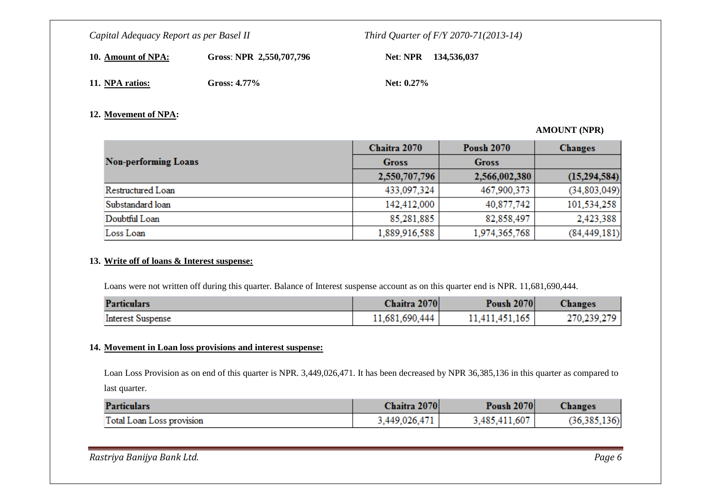**10. Amount of NPA:**

Gross: **NPR 2,550,707,796 Net: NPR 134,536,037** 

**11. NPA ratios:**

Gross: 4.77% **Net:** 0.27%

### **12. Movement of NPA:**

### **AMOUNT (NPR)**

|                             | Chaitra 2070  | <b>Poush 2070</b> | <b>Changes</b> |
|-----------------------------|---------------|-------------------|----------------|
| <b>Non-performing Loans</b> | <b>Gross</b>  | <b>Gross</b>      |                |
|                             | 2,550,707,796 | 2,566,002,380     | (15,294,584)   |
| Restructured Loan           | 433,097,324   | 467,900,373       | (34, 803, 049) |
| Substandard loan            | 142,412,000   | 40,877,742        | 101,534,258    |
| Doubtful Loan               | 85,281,885    | 82,858,497        | 2,423,388      |
| Loss Loan                   | 1,889,916,588 | 1,974,365,768     | (84, 449, 181) |

#### **13. Write off of loans & Interest suspense:**

Loans were not written off during this quarter. Balance of Interest suspense account as on this quarter end is NPR. 11,681,690,444.

| <b>Particulars</b>       | Chaitra 2070   | <b>Poush 2070</b> | <b>Changes</b> |
|--------------------------|----------------|-------------------|----------------|
| <b>Interest Suspense</b> | 11,681,690,444 | 11,411,451,165    | 270,239,279    |

#### **14. Movement in Loan loss provisions and interest suspense:**

Loan Loss Provision as on end of this quarter is NPR. 3,449,026,471. It has been decreased by NPR 36,385,136 in this quarter as compared to last quarter.

| <b>Particulars</b>        | Chaitra 2070  | <b>Poush 2070</b> | <b>Changes</b> |
|---------------------------|---------------|-------------------|----------------|
| Total Loan Loss provision | 3,449,026,471 | 3,485,411,607     | (36, 385, 136) |

| Rastriya Banijya Bank Ltd. | Page 6 |
|----------------------------|--------|
|                            |        |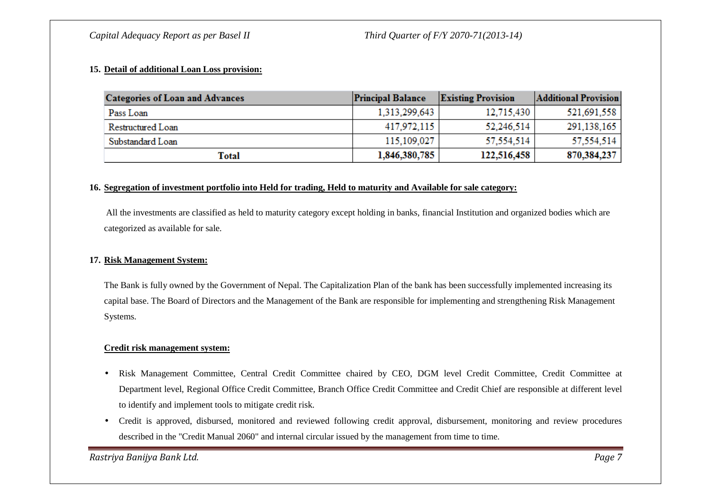#### **15. Detail of additional Loan Loss provision:**

| <b>Categories of Loan and Advances</b> | <b>Principal Balance</b> | <b>Existing Provision</b> | <b>Additional Provision</b> |
|----------------------------------------|--------------------------|---------------------------|-----------------------------|
| Pass Loan                              | 1,313,299,643            | 12,715,430                | 521,691,558                 |
| Restructured Loan                      | 417,972,115              | 52,246,514                | 291,138,165                 |
| Substandard Loan                       | 115,109,027              | 57,554,514                | 57.554.514                  |
| Total                                  | 1,846,380,785            | 122,516,458               | 870,384,237                 |

#### **16. Segregation of investment portfolio into Held for trading, Held to maturity and Available for sale category:**

All the investments are classified as held to maturity category except holding in banks, financial Institution and organized bodies which are categorized as available for sale.

#### **17. Risk Management System:**

The Bank is fully owned by the Government of Nepal. The Capitalization Plan of the bank has been successfully implemented increasing its capital base. The Board of Directors and the Management of the Bank are responsible for implementing and strengthening Risk Management Systems.

#### **Credit risk management system:**

- • Risk Management Committee, Central Credit Committee chaired by CEO, DGM level Credit Committee, Credit Committee at Department level, Regional Office Credit Committee, Branch Office Credit Committee and Credit Chief are responsible at different level to identify and implement tools to mitigate credit risk.
- Credit is approved, disbursed, monitored and reviewed following credit approval, disbursement, monitoring and review procedures described in the "Credit Manual 2060" and internal circular issued by the management from time to time.

*Rastriya Banijya Bank Ltd. Page 7*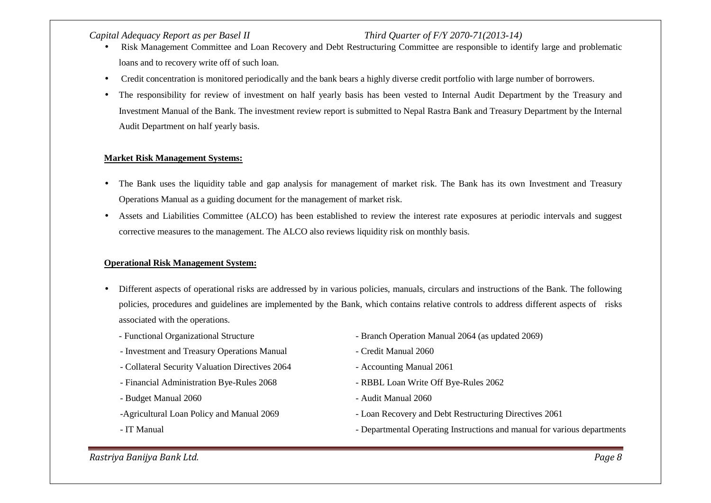- Risk Management Committee and Loan Recovery and Debt Restructuring Committee are responsible to identify large and problematic loans and to recovery write off of such loan.
- Credit concentration is monitored periodically and the bank bears a highly diverse credit portfolio with large number of borrowers.
- $\bullet$  The responsibility for review of investment on half yearly basis has been vested to Internal Audit Department by the Treasury and Investment Manual of the Bank. The investment review report is submitted to Nepal Rastra Bank and Treasury Department by the Internal Audit Department on half yearly basis.

#### **Market Risk Management Systems:**

- The Bank uses the liquidity table and gap analysis for management of market risk. The Bank has its own Investment and Treasury Operations Manual as a guiding document for the management of market risk.
- • Assets and Liabilities Committee (ALCO) has been established to review the interest rate exposures at periodic intervals and suggest corrective measures to the management. The ALCO also reviews liquidity risk on monthly basis.

#### **Operational Risk Management System:**

- $\bullet$  Different aspects of operational risks are addressed by in various policies, manuals, circulars and instructions of the Bank. The following policies, procedures and guidelines are implemented by the Bank, which contains relative controls to address different aspects of risks associated with the operations.
	-
	- Investment and Treasury Operations Manual  **Credit Manual 2060**
	- Collateral Security Valuation Directives 2064 Accounting Manual 2061
	- Financial Administration Bye-Rules 2068 RBBL Loan Write Off Bye-Rules 2062
	- Budget Manual 2060 Audit Manual 2060
	-
	-
- Functional Organizational Structure Branch Operation Manual 2064 (as updated 2069)
	-
	-
	-
	-
- -Agricultural Loan Policy and Manual 2069 Loan Recovery and Debt Restructuring Directives 2061
- IT Manual  **Departmental Operating Instructions and manual for various departments**

*Rastriya Banijya Bank Ltd. Page 8*